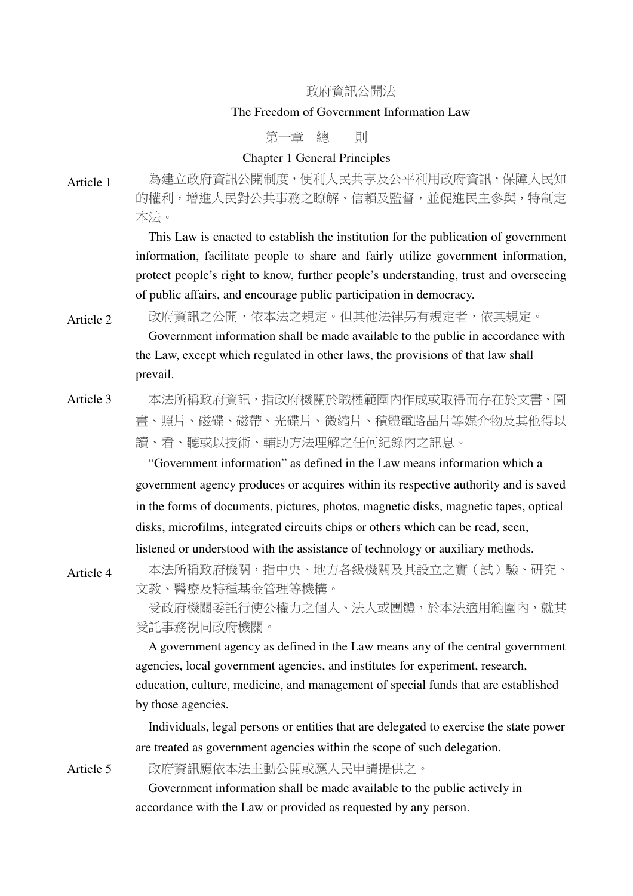### 政府資訊公開法

# The Freedom of Government Information Law

第一章 總 即

# Chapter 1 General Principles

Article 1 為建立政府資訊公開制度,便利人民共享及公平利用政府資訊,保障人民知 的權利,增進人民對公共事務之瞭解、信賴及監督,並促進民主參與,特制定 本法。

> This Law is enacted to establish the institution for the publication of government information, facilitate people to share and fairly utilize government information, protect people's right to know, further people's understanding, trust and overseeing of public affairs, and encourage public participation in democracy.

Article 2 政府資訊之公開,依本法之規定。但其他法律另有規定者,依其規定。 Government information shall be made available to the public in accordance with the Law, except which regulated in other laws, the provisions of that law shall prevail.

Article 3 本法所稱政府資訊, 指政府機關於職權範圍內作成或取得而存在於文書、圖 畫、照片、磁碟、磁帶、光碟片、微縮片、積體電路晶片等媒介物及其他得以 讀、看、聽或以技術、輔助方法理解之任何紀錄內之訊息。

> "Government information" as defined in the Law means information which a government agency produces or acquires within its respective authority and is saved in the forms of documents, pictures, photos, magnetic disks, magnetic tapes, optical disks, microfilms, integrated circuits chips or others which can be read, seen, listened or understood with the assistance of technology or auxiliary methods.

Article 4 本法所稱政府機關,指中央、地方各級機關及其設立之實(試)驗、研究、 文教、醫療及特種基金管理等機構。

> 受政府機關委託行使公權力之個人、法人或團體,於本法適用範圍內,就其 受託事務視同政府機關。

> A government agency as defined in the Law means any of the central government agencies, local government agencies, and institutes for experiment, research, education, culture, medicine, and management of special funds that are established by those agencies.

> Individuals, legal persons or entities that are delegated to exercise the state power are treated as government agencies within the scope of such delegation.

Article 5 政府資訊應依本法主動公開或應人民申請提供之。

Government information shall be made available to the public actively in accordance with the Law or provided as requested by any person.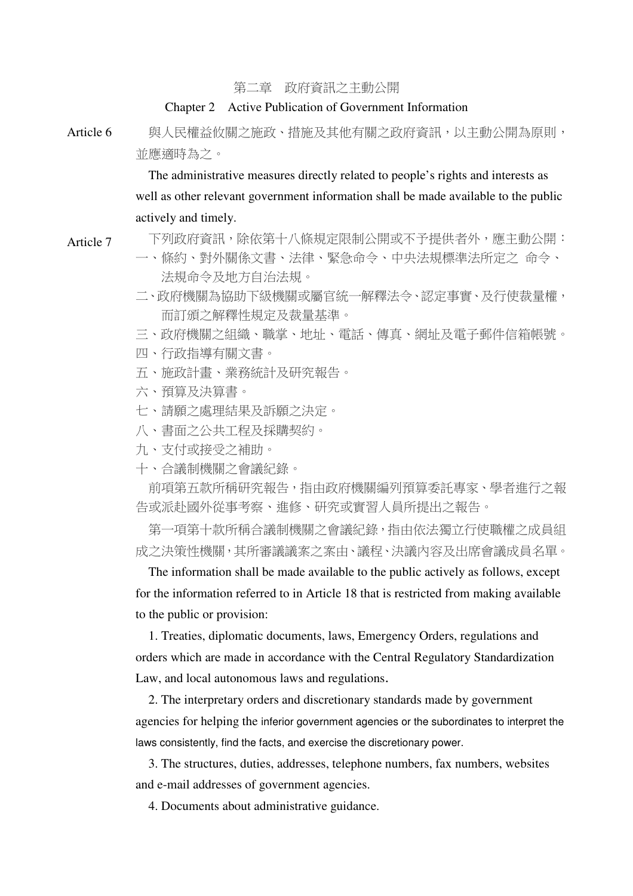第二章 政府資訊之主動公開

#### Chapter 2 Active Publication of Government Information

Article 6 與人民權益攸關之施政、措施及其他有關之政府資訊,以主動公開為原則, 並應適時為之。

> The administrative measures directly related to people's rights and interests as well as other relevant government information shall be made available to the public actively and timely.

Article 7 下列政府資訊,除依第十八條規定限制公開或不予提供者外,應主動公開:

- 一、條約、對外關係文書、法律、緊急命令、中央法規標準法所定之 命令、 法規命令及地方自治法規。
- 二、政府機關為協助下級機關或屬官統一解釋法令、認定事實、及行使裁量權, 而訂頒之解釋性規定及裁量基準。
- 三、政府機關之組織、職掌、地址、電話、傳真、網址及電子郵件信箱帳號。
- 四、行政指導有關文書。
- 五、施政計畫、業務統計及研究報告。
- 六、預算及決算書。
- 七、請願之處理結果及訴願之決定。
- 八、書面之公共工程及採購契約。
- 九、支付或接受之補助。
- 十、合議制機關之會議紀錄。

前項第五款所稱研究報告,指由政府機關編列預算委託專家、學者進行之報 告或派赴國外從事考察、進修、研究或實習人員所提出之報告。

第一項第十款所稱合議制機關之會議紀錄,指由依法獨立行使職權之成員組 成之決策性機關,其所審議議案之案由、議程、決議內容及出席會議成員名單。

The information shall be made available to the public actively as follows, except for the information referred to in Article 18 that is restricted from making available to the public or provision:

 1. Treaties, diplomatic documents, laws, Emergency Orders, regulations and orders which are made in accordance with the Central Regulatory Standardization Law, and local autonomous laws and regulations.

 2. The interpretary orders and discretionary standards made by government agencies for helping the inferior government agencies or the subordinates to interpret the laws consistently, find the facts, and exercise the discretionary power.

 3. The structures, duties, addresses, telephone numbers, fax numbers, websites and e-mail addresses of government agencies.

4. Documents about administrative guidance.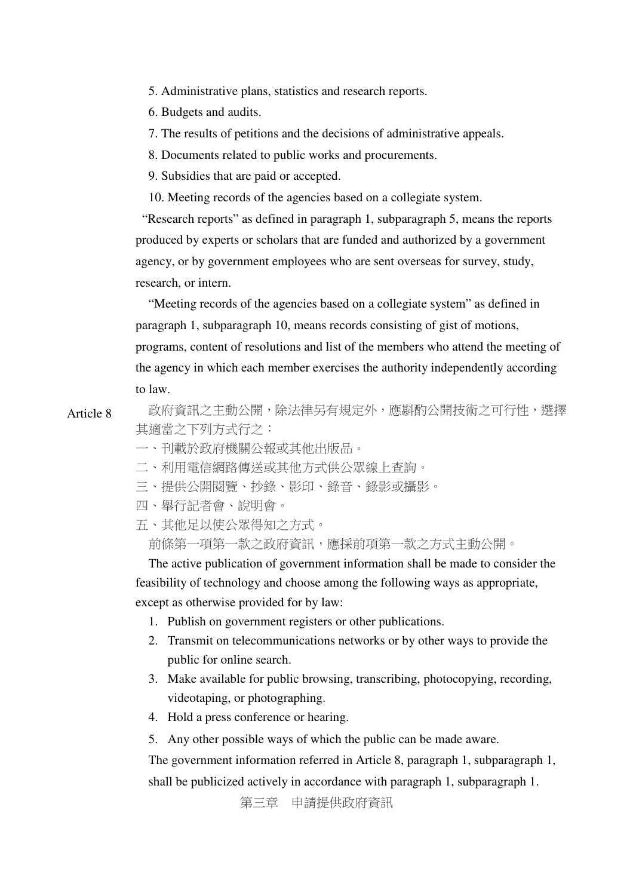5. Administrative plans, statistics and research reports.

6. Budgets and audits.

7. The results of petitions and the decisions of administrative appeals.

8. Documents related to public works and procurements.

9. Subsidies that are paid or accepted.

10. Meeting records of the agencies based on a collegiate system.

"Research reports" as defined in paragraph 1, subparagraph 5, means the reports produced by experts or scholars that are funded and authorized by a government agency, or by government employees who are sent overseas for survey, study, research, or intern.

 "Meeting records of the agencies based on a collegiate system" as defined in paragraph 1, subparagraph 10, means records consisting of gist of motions, programs, content of resolutions and list of the members who attend the meeting of the agency in which each member exercises the authority independently according to law.

Article 8 政府資訊之主動公開,除法律另有規定外,應斟酌公開技術之可行性,選擇 其適當之下列方式行之:

一、刊載於政府機關公報或其他出版品。

二、利用電信網路傳送或其他方式供公眾線上查詢。

三、提供公開閱覽、抄錄、影印、錄音、錄影或攝影。

- 四、舉行記者會、說明會。
- 五、其他足以使公眾得知之方式。

前條第一項第一款之政府資訊,應採前項第一款之方式主動公開。

The active publication of government information shall be made to consider the feasibility of technology and choose among the following ways as appropriate, except as otherwise provided for by law:

- 1. Publish on government registers or other publications.
- 2. Transmit on telecommunications networks or by other ways to provide the public for online search.
- 3. Make available for public browsing, transcribing, photocopying, recording, videotaping, or photographing.
- 4. Hold a press conference or hearing.
- 5. Any other possible ways of which the public can be made aware.

The government information referred in Article 8, paragraph 1, subparagraph 1, shall be publicized actively in accordance with paragraph 1, subparagraph 1.

第三章 申請提供政府資訊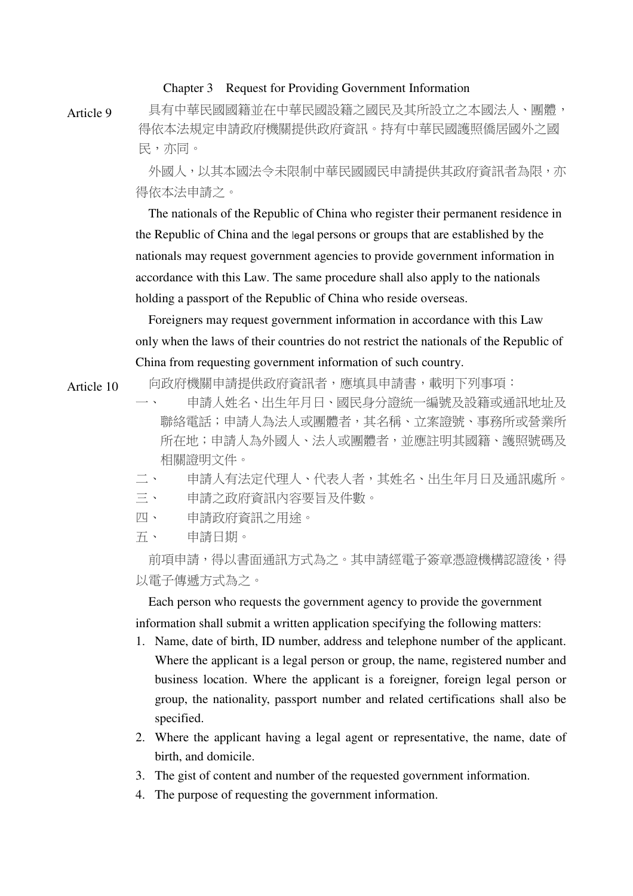#### Chapter 3 Request for Providing Government Information

Article 9 具有中華民國國籍並在中華民國設籍之國民及其所設立之本國法人、團體, 得依本法規定申請政府機關提供政府資訊。持有中華民國護照僑居國外之國 民,亦同。

> 外國人,以其本國法今未限制中華民國國民申請提供其政府資訊者為限,亦 得依本法申請之。

> The nationals of the Republic of China who register their permanent residence in the Republic of China and the legal persons or groups that are established by the nationals may request government agencies to provide government information in accordance with this Law. The same procedure shall also apply to the nationals holding a passport of the Republic of China who reside overseas.

> Foreigners may request government information in accordance with this Law only when the laws of their countries do not restrict the nationals of the Republic of China from requesting government information of such country.

Article 10 向政府機關申請提供政府資訊者,應填具申請書,載明下列事項:

一、 申請人姓名、出生年月日、國民身分證統一編號及設籍或通訊地址及 聯絡電話;申請人為法人或團體者,其名稱、立案證號、事務所或營業所 所在地;申請人為外國人、法人或團體者,並應註明其國籍、護照號碼及 相關證明文件。

- 二、 申請人有法定代理人、代表人者,其姓名、出生年月日及通訊處所。
- 三、 申請之政府資訊內容要旨及件數。
- 四、 申請政府資訊之用途。
- 五、 申請日期。

前項申請,得以書面通訊方式為之。其申請經電子簽章憑證機構認證後,得 以電子傳遞方式為之。

Each person who requests the government agency to provide the government information shall submit a written application specifying the following matters:

- 1. Name, date of birth, ID number, address and telephone number of the applicant. Where the applicant is a legal person or group, the name, registered number and business location. Where the applicant is a foreigner, foreign legal person or group, the nationality, passport number and related certifications shall also be specified.
- 2. Where the applicant having a legal agent or representative, the name, date of birth, and domicile.
- 3. The gist of content and number of the requested government information.
- 4. The purpose of requesting the government information.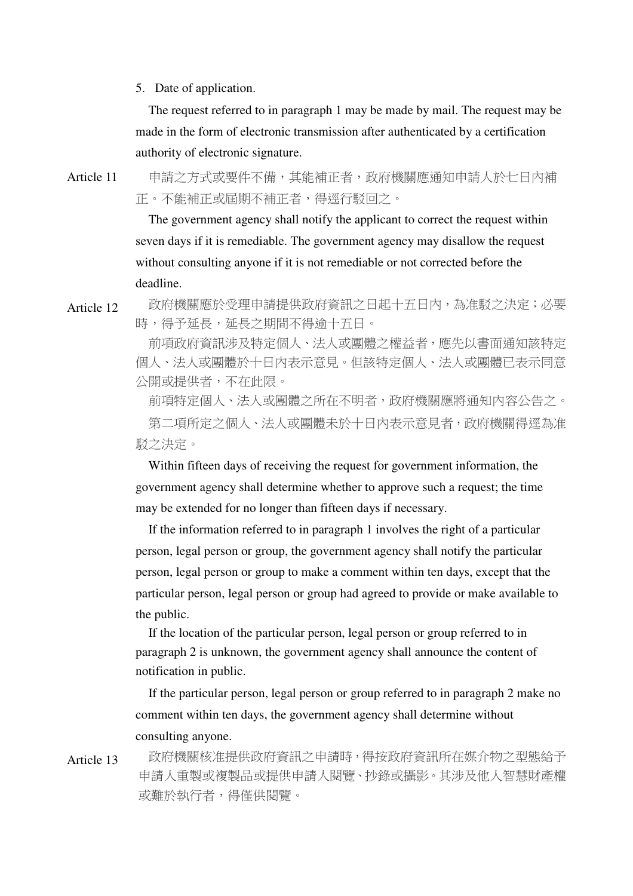5. Date of application.

The request referred to in paragraph 1 may be made by mail. The request may be made in the form of electronic transmission after authenticated by a certification authority of electronic signature.

Article 11 申請之方式或要件不備,其能補正者,政府機關應通知申請人於七日內補 正。不能補正或屆期不補正者,得逕行駁回之。

> The government agency shall notify the applicant to correct the request within seven days if it is remediable. The government agency may disallow the request without consulting anyone if it is not remediable or not corrected before the deadline.

Article 12 政府機關應於受理申請提供政府資訊之日起十五日內,為准駁之決定;必要 時,得予延長,延長之期間不得逾十五日。

> 前項政府資訊涉及特定個人、法人或團體之權益者,應先以書面通知該特定 個人、法人或團體於十日內表示意見。但該特定個人、法人或團體已表示同意 公開或提供者,不在此限。

> 前項特定個人、法人或團體之所在不明者,政府機關應將通知內容公告之。 第二項所定之個人、法人或團體未於十日內表示意見者,政府機關得逕為准 駁之決定。

Within fifteen days of receiving the request for government information, the government agency shall determine whether to approve such a request; the time may be extended for no longer than fifteen days if necessary.

If the information referred to in paragraph 1 involves the right of a particular person, legal person or group, the government agency shall notify the particular person, legal person or group to make a comment within ten days, except that the particular person, legal person or group had agreed to provide or make available to the public.

If the location of the particular person, legal person or group referred to in paragraph 2 is unknown, the government agency shall announce the content of notification in public.

If the particular person, legal person or group referred to in paragraph 2 make no comment within ten days, the government agency shall determine without consulting anyone.

Article 13 政府機關核准提供政府資訊之申請時,得按政府資訊所在媒介物之型態給予 申請人重製或複製品或提供申請人閱覽、抄錄或攝影。其涉及他人智慧財產權 或難於執行者,得僅供閱覽。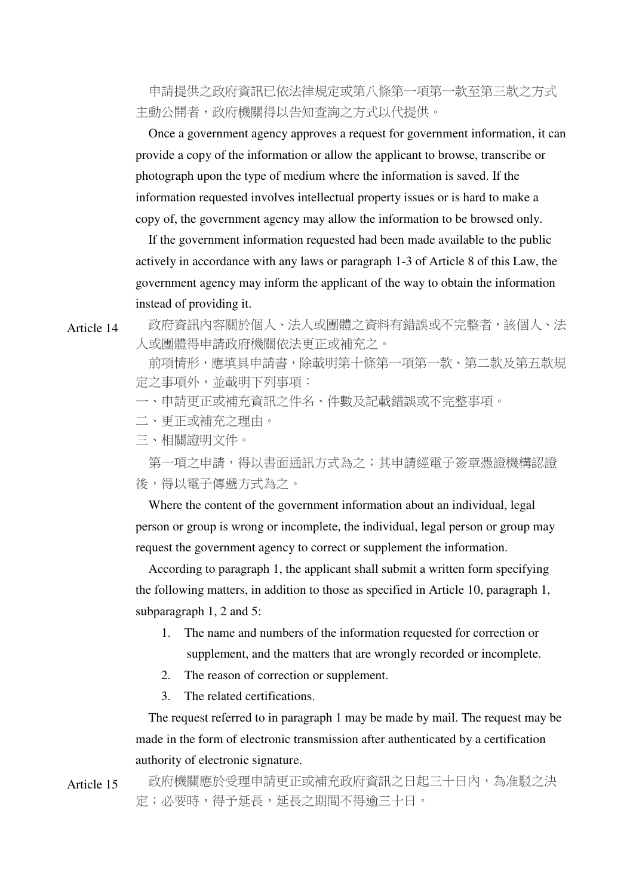申請提供之政府資訊已依法律規定或第八條第一項第一款至第三款之方式 主動公開者,政府機關得以告知查詢之方式以代提供。

Once a government agency approves a request for government information, it can provide a copy of the information or allow the applicant to browse, transcribe or photograph upon the type of medium where the information is saved. If the information requested involves intellectual property issues or is hard to make a copy of, the government agency may allow the information to be browsed only.

If the government information requested had been made available to the public actively in accordance with any laws or paragraph 1-3 of Article 8 of this Law, the government agency may inform the applicant of the way to obtain the information instead of providing it.

Article 14 政府資訊內容關於個人、法人或團體之資料有錯誤或不完整者,該個人、法 人或團體得申請政府機關依法更正或補充之。

> 前項情形,應填具申請書,除載明第十條第一項第一款、第二款及第五款規 定之事項外,並載明下列事項:

一、申請更正或補充資訊之件名、件數及記載錯誤或不完整事項。

二、更正或補充之理由。

三、相關證明文件。

第一項之申請,得以書面通訊方式為之;其申請經電子簽章憑證機構認證 後,得以電子傳遞方式為之。

Where the content of the government information about an individual, legal person or group is wrong or incomplete, the individual, legal person or group may request the government agency to correct or supplement the information.

According to paragraph 1, the applicant shall submit a written form specifying the following matters, in addition to those as specified in Article 10, paragraph 1, subparagraph 1, 2 and 5:

- 1. The name and numbers of the information requested for correction or supplement, and the matters that are wrongly recorded or incomplete.
- 2. The reason of correction or supplement.
- 3. The related certifications.

The request referred to in paragraph 1 may be made by mail. The request may be made in the form of electronic transmission after authenticated by a certification authority of electronic signature.

Article 15 政府機關應於受理申請更正或補充政府資訊之日起三十日內,為准駁之決 定;必要時,得予延長,延長之期間不得逾三十日。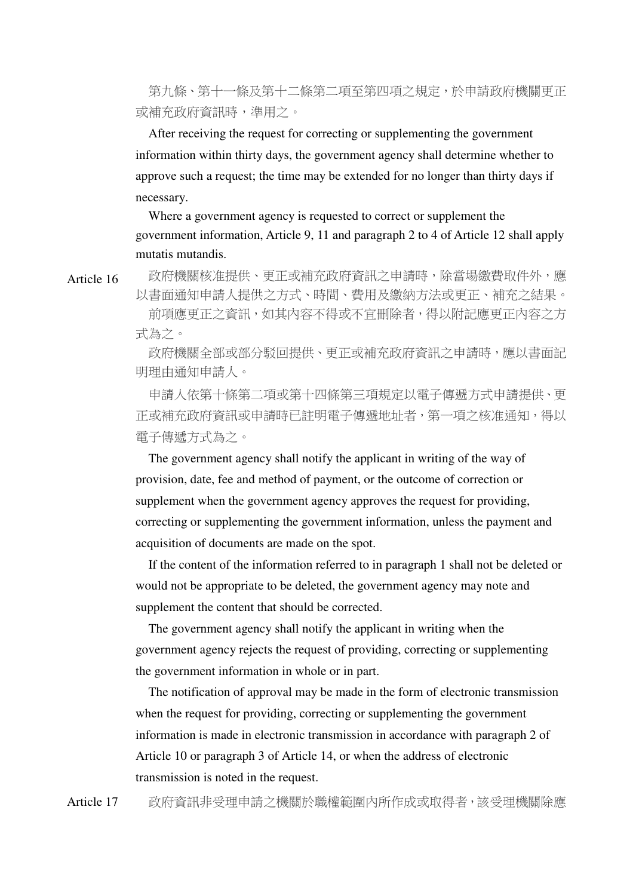第九條、第十一條及第十二條第二項至第四項之規定,於申請政府機關更正 或補充政府資訊時,準用之。

After receiving the request for correcting or supplementing the government information within thirty days, the government agency shall determine whether to approve such a request; the time may be extended for no longer than thirty days if necessary.

Where a government agency is requested to correct or supplement the government information, Article 9, 11 and paragraph 2 to 4 of Article 12 shall apply mutatis mutandis.

Article 16 政府機關核准提供、更正或補充政府資訊之申請時,除當場繳費取件外,應 以書面通知申請人提供之方式、時間、費用及繳納方法或更正、補充之結果。

> 前項應更正之資訊,如其內容不得或不宜刪除者,得以附記應更正內容之方 式為之。

> 政府機關全部或部分駁回提供、更正或補充政府資訊之申請時,應以書面記 明理由通知申請人。

> 申請人依第十條第二項或第十四條第三項規定以電子傳遞方式申請提供、更 正或補充政府資訊或申請時已註明電子傳遞地址者,第一項之核准通知,得以 電子傳遞方式為之。

The government agency shall notify the applicant in writing of the way of provision, date, fee and method of payment, or the outcome of correction or supplement when the government agency approves the request for providing, correcting or supplementing the government information, unless the payment and acquisition of documents are made on the spot.

If the content of the information referred to in paragraph 1 shall not be deleted or would not be appropriate to be deleted, the government agency may note and supplement the content that should be corrected.

The government agency shall notify the applicant in writing when the government agency rejects the request of providing, correcting or supplementing the government information in whole or in part.

The notification of approval may be made in the form of electronic transmission when the request for providing, correcting or supplementing the government information is made in electronic transmission in accordance with paragraph 2 of Article 10 or paragraph 3 of Article 14, or when the address of electronic transmission is noted in the request.

Article 17 政府資訊非受理申請之機關於職權範圍內所作成或取得者,該受理機關除應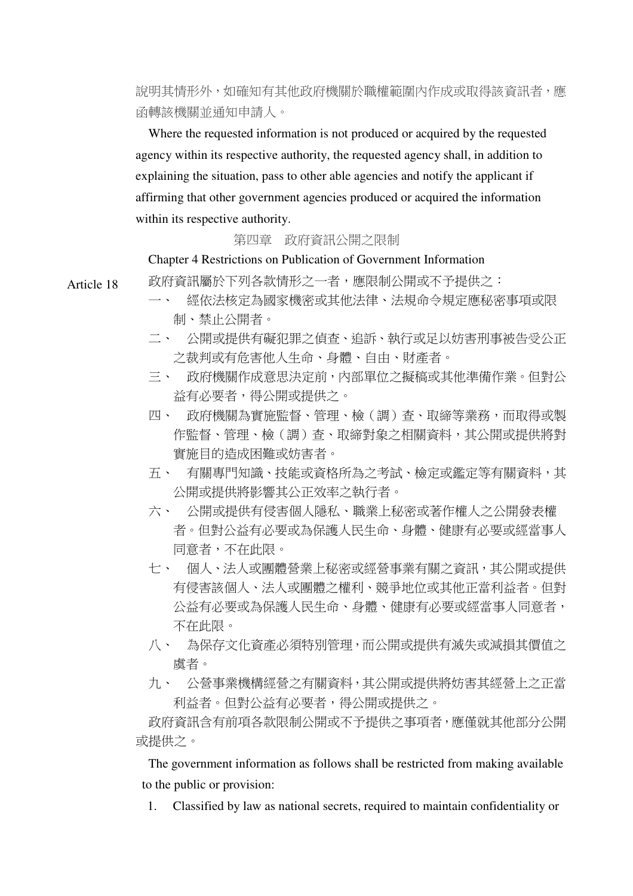說明其情形外,如確知有其他政府機關於職權範圍內作成或取得該資訊者,應 函轉該機關並通知申請人。

Where the requested information is not produced or acquired by the requested agency within its respective authority, the requested agency shall, in addition to explaining the situation, pass to other able agencies and notify the applicant if affirming that other government agencies produced or acquired the information within its respective authority.

## 第四章 政府資訊公開之限制

Chapter 4 Restrictions on Publication of Government Information

Article 18 政府資訊屬於下列各款情形之一者,應限制公開或不予提供之:

- 一、 經依法核定為國家機密或其他法律、法規命令規定應秘密事項或限 制、禁止公開者。
- 二、 公開或提供有礙犯罪之偵查、追訴、執行或足以妨害刑事被告受公正 之裁判或有危害他人生命、身體、自由、財產者。
- 三、 政府機關作成意思決定前,內部單位之擬稿或其他準備作業。但對公 益有必要者,得公開或提供之。
- 四、 政府機關為實施監督、管理、檢(調)查、取締等業務,而取得或製 作監督、管理、檢(調)查、取締對象之相關資料,其公開或提供將對 實施目的造成困難或妨害者。
- 五、 有關專門知識、技能或資格所為之考試、檢定或鑑定等有關資料,其 公開或提供將影響其公正效率之執行者。
- 六、 公開或提供有侵害個人隱私、職業上秘密或著作權人之公開發表權 者。但對公益有必要或為保護人民生命、身體、健康有必要或經當事人 同意者,不在此限。
- 七、 個人、法人或團體營業上秘密或經營事業有關之資訊,其公開或提供 有侵害該個人、法人或團體之權利、競爭地位或其他正當利益者。但對 公益有必要或為保護人民生命、身體、健康有必要或經當事人同意者, 不在此限。
- 八、 為保存文化資產必須特別管理,而公開或提供有滅失或減損其價值之 虞者。
- 九、 公營事業機構經營之有關資料,其公開或提供將妨害其經營上之正當 利益者。但對公益有必要者,得公開或提供之。

政府資訊含有前項各款限制公開或不予提供之事項者,應僅就其他部分公開 或提供之。

The government information as follows shall be restricted from making available to the public or provision:

1. Classified by law as national secrets, required to maintain confidentiality or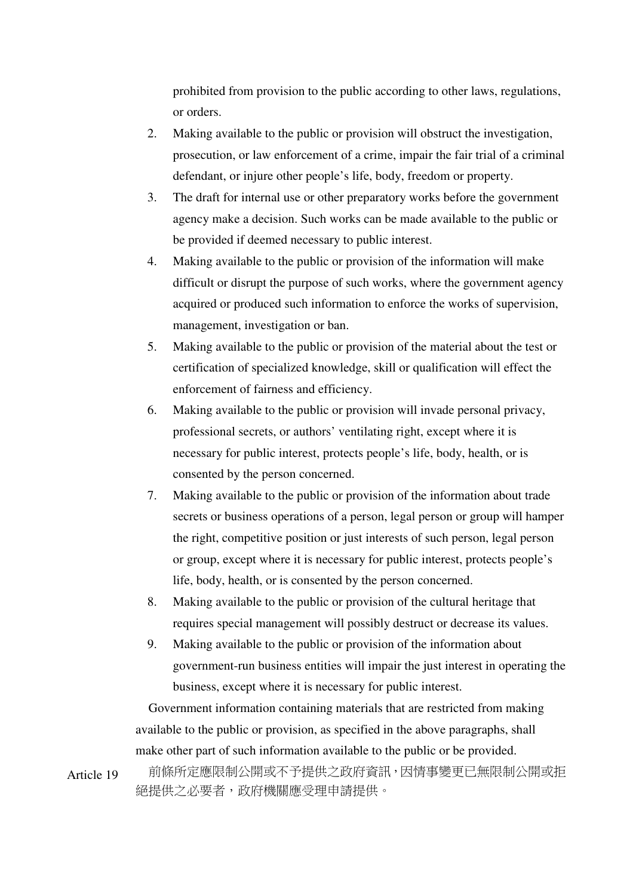prohibited from provision to the public according to other laws, regulations, or orders.

- 2. Making available to the public or provision will obstruct the investigation, prosecution, or law enforcement of a crime, impair the fair trial of a criminal defendant, or injure other people's life, body, freedom or property.
- 3. The draft for internal use or other preparatory works before the government agency make a decision. Such works can be made available to the public or be provided if deemed necessary to public interest.
- 4. Making available to the public or provision of the information will make difficult or disrupt the purpose of such works, where the government agency acquired or produced such information to enforce the works of supervision, management, investigation or ban.
- 5. Making available to the public or provision of the material about the test or certification of specialized knowledge, skill or qualification will effect the enforcement of fairness and efficiency.
- 6. Making available to the public or provision will invade personal privacy, professional secrets, or authors' ventilating right, except where it is necessary for public interest, protects people's life, body, health, or is consented by the person concerned.
- 7. Making available to the public or provision of the information about trade secrets or business operations of a person, legal person or group will hamper the right, competitive position or just interests of such person, legal person or group, except where it is necessary for public interest, protects people's life, body, health, or is consented by the person concerned.
- 8. Making available to the public or provision of the cultural heritage that requires special management will possibly destruct or decrease its values.
- 9. Making available to the public or provision of the information about government-run business entities will impair the just interest in operating the business, except where it is necessary for public interest.

Government information containing materials that are restricted from making available to the public or provision, as specified in the above paragraphs, shall make other part of such information available to the public or be provided.

Article 19 前條所定應限制公開或不予提供之政府資訊,因情事變更已無限制公開或拒 絕提供之必要者,政府機關應受理申請提供。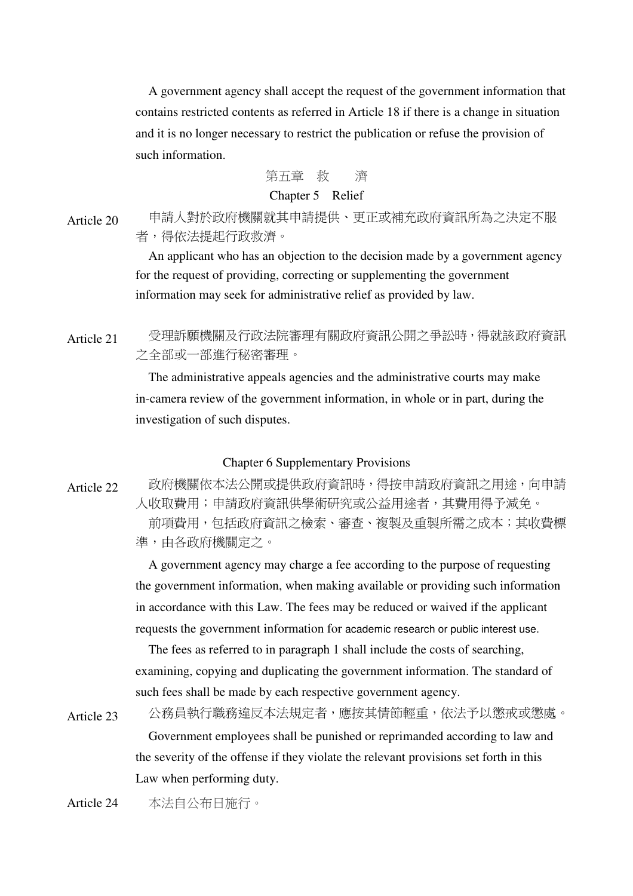A government agency shall accept the request of the government information that contains restricted contents as referred in Article 18 if there is a change in situation and it is no longer necessary to restrict the publication or refuse the provision of such information.

# 第五章 救 濟

# Chapter 5 Relief

Article 20 申請人對於政府機關就其申請提供、更正或補充政府資訊所為之決定不服 者,得依法提起行政救濟。

> An applicant who has an objection to the decision made by a government agency for the request of providing, correcting or supplementing the government information may seek for administrative relief as provided by law.

Article 21 受理訴願機關及行政法院審理有關政府資訊公開之爭訟時,得就該政府資訊 之全部或一部進行秘密審理。

> The administrative appeals agencies and the administrative courts may make in-camera review of the government information, in whole or in part, during the investigation of such disputes.

#### Chapter 6 Supplementary Provisions

Article 22 政府機關依本法公開或提供政府資訊時,得按申請政府資訊之用途,向申請 人收取費用;申請政府資訊供學術研究或公益用途者,其費用得予減免。 前項費用,包括政府資訊之檢索、審查、複製及重製所需之成本;其收費標 準,由各政府機關定之。

> A government agency may charge a fee according to the purpose of requesting the government information, when making available or providing such information in accordance with this Law. The fees may be reduced or waived if the applicant requests the government information for academic research or public interest use.

The fees as referred to in paragraph 1 shall include the costs of searching, examining, copying and duplicating the government information. The standard of such fees shall be made by each respective government agency.

Article 23 公務員執行職務違反本法規定者,應按其情節輕重,依法予以懲戒或懲處。 Government employees shall be punished or reprimanded according to law and the severity of the offense if they violate the relevant provisions set forth in this Law when performing duty.

Article 24 本法自公布日施行。